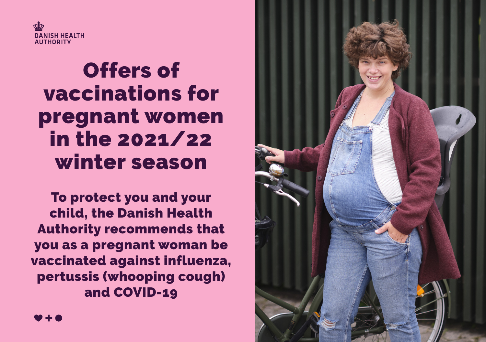

# Offers of vaccinations for pregnant women in the 2021/22 winter season

To protect you and your child, the Danish Health Authority recommends that you as a pregnant woman be vaccinated against influenza, pertussis (whooping cough) and COVID-19



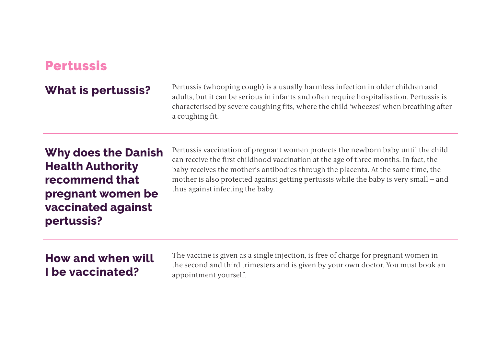# Pertussis

What is pertussis? Pertussis (whooping cough) is a usually harmless infection in older children and adults, but it can be serious in infants and often require hospitalisation. Pertussis is characterised by severe coughing fits, where the child 'wheezes' when breathing after a coughing fit.

# **Why does the Danish Health Authority recommend that pregnant women be vaccinated against pertussis?**

Pertussis vaccination of pregnant women protects the newborn baby until the child can receive the first childhood vaccination at the age of three months. In fact, the baby receives the mother's antibodies through the placenta. At the same time, the mother is also protected against getting pertussis while the baby is very small – and thus against infecting the baby.

## **How and when will I be vaccinated?**

The vaccine is given as a single injection, is free of charge for pregnant women in the second and third trimesters and is given by your own doctor. You must book an appointment yourself.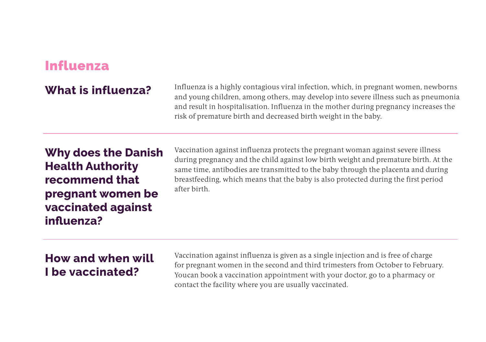# Influenza

What is influenza? Influenza is a highly contagious viral infection, which, in pregnant women, newborns and young children, among others, may develop into severe illness such as pneumonia and result in hospitalisation. Influenza in the mother during pregnancy increases the risk of premature birth and decreased birth weight in the baby.

# **Why does the Danish Health Authority recommend that pregnant women be vaccinated against influenza?**

Vaccination against influenza protects the pregnant woman against severe illness during pregnancy and the child against low birth weight and premature birth. At the same time, antibodies are transmitted to the baby through the placenta and during breastfeeding, which means that the baby is also protected during the first period after birth.

# **How and when will I be vaccinated?**

Vaccination against influenza is given as a single injection and is free of charge for pregnant women in the second and third trimesters from October to February. You can book a vaccination appointment with your doctor, go to a pharmacy or contact the facility where you are usually vaccinated.